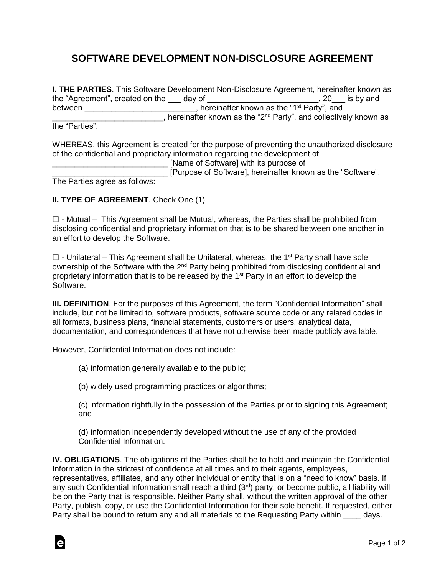## **SOFTWARE DEVELOPMENT NON-DISCLOSURE AGREEMENT**

**I. THE PARTIES**. This Software Development Non-Disclosure Agreement, hereinafter known as the "Agreement", created on the day of \_\_\_\_\_\_\_\_\_\_\_\_\_\_\_\_\_\_\_\_\_\_\_\_\_\_, 20\_\_\_ is by and between \_\_\_\_\_\_\_\_\_\_\_\_\_\_\_\_\_\_\_\_\_\_\_\_, hereinafter known as the "1<sup>st</sup> Party", and <sup>1</sup> Alternative manufacture methods with the "2<sup>nd</sup> Party", and collectively known as the "2<sup>nd</sup> Party", and collectively known as the "Parties".

Ġ

WHEREAS, this Agreement is created for the purpose of preventing the unauthorized disclosure of the confidential and proprietary information regarding the development of

\_\_\_\_\_\_\_\_\_\_\_\_\_\_\_\_\_\_\_\_\_\_\_\_\_\_ [Name of Software] with its purpose of [Purpose of Software], hereinafter known as the "Software".

The Parties agree as follows:

## **II. TYPE OF AGREEMENT**. Check One (1)

☐ - Mutual – This Agreement shall be Mutual, whereas, the Parties shall be prohibited from disclosing confidential and proprietary information that is to be shared between one another in an effort to develop the Software.

 $\Box$  - Unilateral – This Agreement shall be Unilateral, whereas, the 1<sup>st</sup> Party shall have sole ownership of the Software with the 2<sup>nd</sup> Party being prohibited from disclosing confidential and proprietary information that is to be released by the 1st Party in an effort to develop the Software.

**III. DEFINITION**. For the purposes of this Agreement, the term "Confidential Information" shall include, but not be limited to, software products, software source code or any related codes in all formats, business plans, financial statements, customers or users, analytical data, documentation, and correspondences that have not otherwise been made publicly available.

However, Confidential Information does not include:

(a) information generally available to the public;

(b) widely used programming practices or algorithms;

(c) information rightfully in the possession of the Parties prior to signing this Agreement; and

(d) information independently developed without the use of any of the provided Confidential Information.

**IV. OBLIGATIONS**. The obligations of the Parties shall be to hold and maintain the Confidential Information in the strictest of confidence at all times and to their agents, employees, representatives, affiliates, and any other individual or entity that is on a "need to know" basis. If any such Confidential Information shall reach a third (3rd) party, or become public, all liability will be on the Party that is responsible. Neither Party shall, without the written approval of the other Party, publish, copy, or use the Confidential Information for their sole benefit. If requested, either Party shall be bound to return any and all materials to the Requesting Party within days.